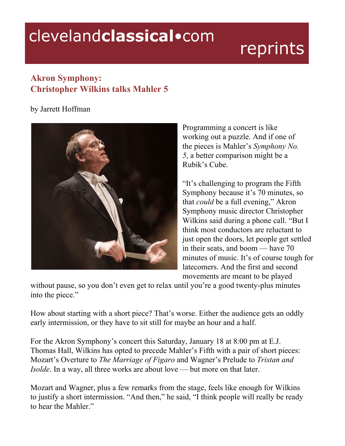## clevelandclassical.com

## reprints

## **Akron Symphony: Christopher Wilkins talks Mahler 5**

## by Jarrett Hoffman



Programming a concert is like working out a puzzle. And if one of the pieces is Mahler's *Symphony No. 5*, a better comparison might be a Rubik's Cube.

"It's challenging to program the Fifth Symphony because it's 70 minutes, so that *could* be a full evening," Akron Symphony music director Christopher Wilkins said during a phone call. "But I think most conductors are reluctant to just open the doors, let people get settled in their seats, and boom — have 70 minutes of music. It's of course tough for latecomers. And the first and second movements are meant to be played

without pause, so you don't even get to relax until you're a good twenty-plus minutes into the piece."

How about starting with a short piece? That's worse. Either the audience gets an oddly early intermission, or they have to sit still for maybe an hour and a half.

For the Akron Symphony's concert this Saturday, January 18 at 8:00 pm at E.J. Thomas Hall, Wilkins has opted to precede Mahler's Fifth with a pair of short pieces: Mozart's Overture to *The Marriage of Figaro* and Wagner's Prelude to *Tristan and Isolde*. In a way, all three works are about love — but more on that later.

Mozart and Wagner, plus a few remarks from the stage, feels like enough for Wilkins to justify a short intermission. "And then," he said, "I think people will really be ready to hear the Mahler."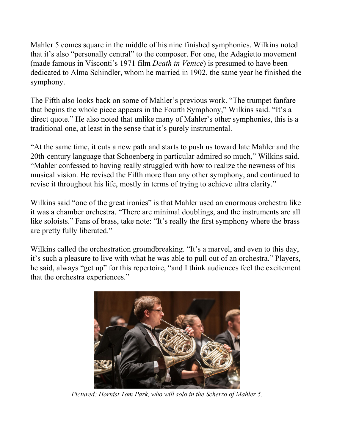Mahler 5 comes square in the middle of his nine finished symphonies. Wilkins noted that it's also "personally central" to the composer. For one, the Adagietto movement (made famous in Visconti's 1971 film *Death in Venice*) is presumed to have been dedicated to Alma Schindler, whom he married in 1902, the same year he finished the symphony.

The Fifth also looks back on some of Mahler's previous work. "The trumpet fanfare that begins the whole piece appears in the Fourth Symphony," Wilkins said. "It's a direct quote." He also noted that unlike many of Mahler's other symphonies, this is a traditional one, at least in the sense that it's purely instrumental.

"At the same time, it cuts a new path and starts to push us toward late Mahler and the 20th-century language that Schoenberg in particular admired so much," Wilkins said. "Mahler confessed to having really struggled with how to realize the newness of his musical vision. He revised the Fifth more than any other symphony, and continued to revise it throughout his life, mostly in terms of trying to achieve ultra clarity."

Wilkins said "one of the great ironies" is that Mahler used an enormous orchestra like it was a chamber orchestra. "There are minimal doublings, and the instruments are all like soloists." Fans of brass, take note: "It's really the first symphony where the brass are pretty fully liberated."

Wilkins called the orchestration groundbreaking. "It's a marvel, and even to this day, it's such a pleasure to live with what he was able to pull out of an orchestra." Players, he said, always "get up" for this repertoire, "and I think audiences feel the excitement that the orchestra experiences."



*Pictured: Hornist Tom Park, who will solo in the Scherzo of Mahler 5.*